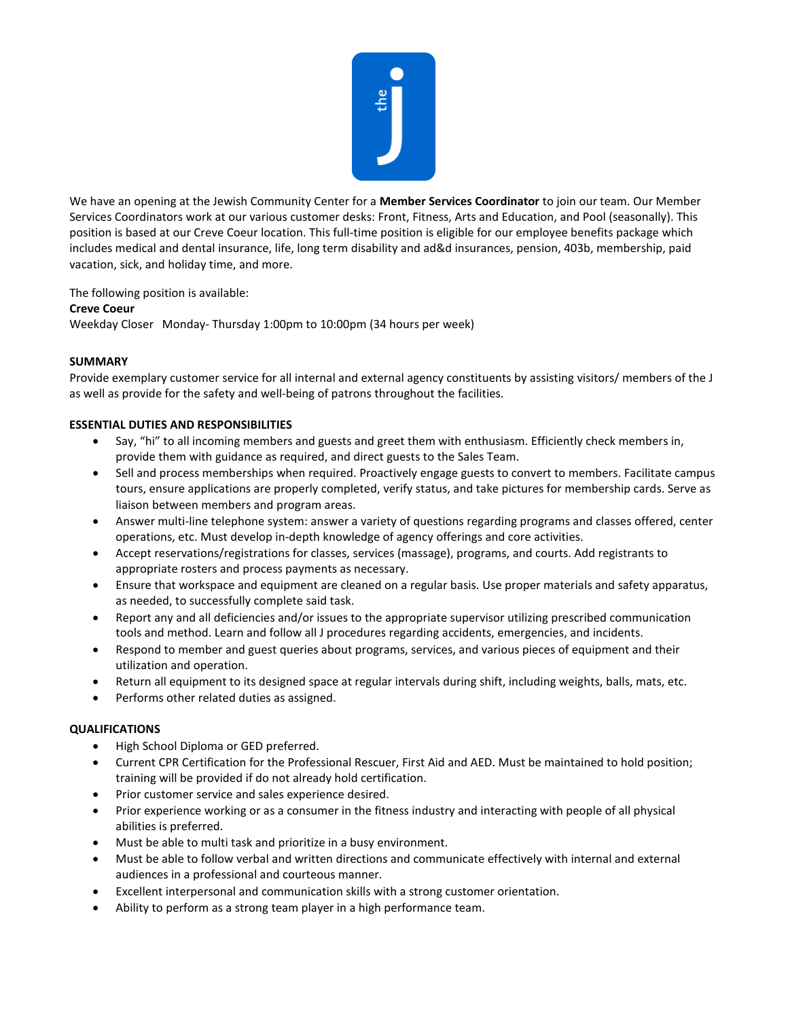

We have an opening at the Jewish Community Center for a **Member Services Coordinator** to join our team. Our Member Services Coordinators work at our various customer desks: Front, Fitness, Arts and Education, and Pool (seasonally). This position is based at our Creve Coeur location. This full-time position is eligible for our employee benefits package which includes medical and dental insurance, life, long term disability and ad&d insurances, pension, 403b, membership, paid vacation, sick, and holiday time, and more.

The following position is available:

## **Creve Coeur**

Weekday Closer Monday- Thursday 1:00pm to 10:00pm (34 hours per week)

## **SUMMARY**

Provide exemplary customer service for all internal and external agency constituents by assisting visitors/ members of the J as well as provide for the safety and well-being of patrons throughout the facilities.

## **ESSENTIAL DUTIES AND RESPONSIBILITIES**

- Say, "hi" to all incoming members and guests and greet them with enthusiasm. Efficiently check members in, provide them with guidance as required, and direct guests to the Sales Team.
- Sell and process memberships when required. Proactively engage guests to convert to members. Facilitate campus tours, ensure applications are properly completed, verify status, and take pictures for membership cards. Serve as liaison between members and program areas.
- Answer multi-line telephone system: answer a variety of questions regarding programs and classes offered, center operations, etc. Must develop in-depth knowledge of agency offerings and core activities.
- Accept reservations/registrations for classes, services (massage), programs, and courts. Add registrants to appropriate rosters and process payments as necessary.
- Ensure that workspace and equipment are cleaned on a regular basis. Use proper materials and safety apparatus, as needed, to successfully complete said task.
- Report any and all deficiencies and/or issues to the appropriate supervisor utilizing prescribed communication tools and method. Learn and follow all J procedures regarding accidents, emergencies, and incidents.
- Respond to member and guest queries about programs, services, and various pieces of equipment and their utilization and operation.
- Return all equipment to its designed space at regular intervals during shift, including weights, balls, mats, etc.
- Performs other related duties as assigned.

## **QUALIFICATIONS**

- High School Diploma or GED preferred.
- Current CPR Certification for the Professional Rescuer, First Aid and AED. Must be maintained to hold position; training will be provided if do not already hold certification.
- Prior customer service and sales experience desired.
- Prior experience working or as a consumer in the fitness industry and interacting with people of all physical abilities is preferred.
- Must be able to multi task and prioritize in a busy environment.
- Must be able to follow verbal and written directions and communicate effectively with internal and external audiences in a professional and courteous manner.
- Excellent interpersonal and communication skills with a strong customer orientation.
- Ability to perform as a strong team player in a high performance team.